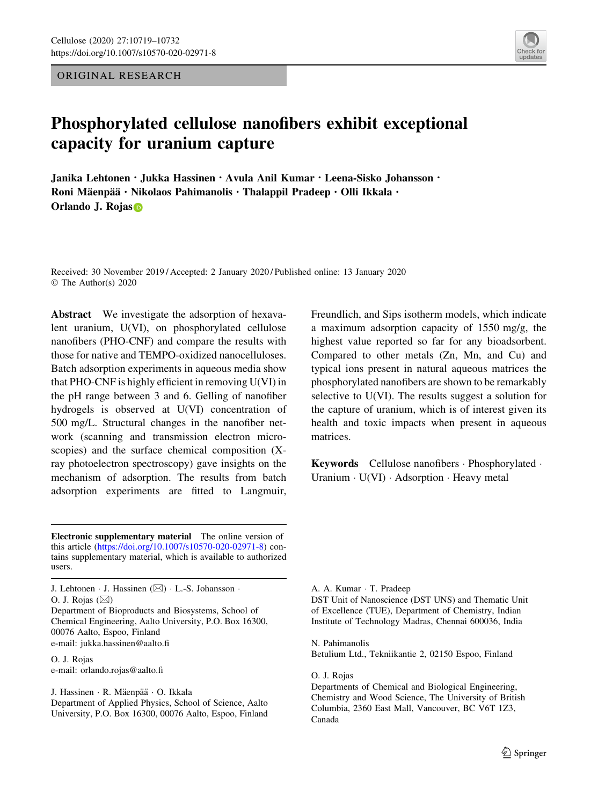ORIGINAL RESEARCH



# Phosphorylated cellulose nanofibers exhibit exceptional capacity for uranium capture

Janika Lehtonen . Jukka Hassinen . Avula Anil Kumar . Leena-Sisko Johansson . Roni Mäenpää · Nikolaos Pahimanolis · Thalappil Pradeep · Olli Ikkala · Orlando J. Roja[s](http://orcid.org/0000-0003-4036-4020)

Received: 30 November 2019 / Accepted: 2 January 2020 / Published online: 13 January 2020 © The Author(s) 2020

Abstract We investigate the adsorption of hexavalent uranium, U(VI), on phosphorylated cellulose nanofibers (PHO-CNF) and compare the results with those for native and TEMPO-oxidized nanocelluloses. Batch adsorption experiments in aqueous media show that PHO-CNF is highly efficient in removing U(VI) in the pH range between 3 and 6. Gelling of nanofiber hydrogels is observed at U(VI) concentration of 500 mg/L. Structural changes in the nanofiber network (scanning and transmission electron microscopies) and the surface chemical composition (Xray photoelectron spectroscopy) gave insights on the mechanism of adsorption. The results from batch adsorption experiments are fitted to Langmuir,

Electronic supplementary material The online version of this article [\(https://doi.org/10.1007/s10570-020-02971-8](https://doi.org/10.1007/s10570-020-02971-8)) contains supplementary material, which is available to authorized users.

J. Lehtonen · J. Hassinen ( $\boxtimes$ ) · L.-S. Johansson · O. J. Rojas  $(\boxtimes)$ 

Department of Bioproducts and Biosystems, School of Chemical Engineering, Aalto University, P.O. Box 16300, 00076 Aalto, Espoo, Finland e-mail: jukka.hassinen@aalto.fi

O. J. Rojas e-mail: orlando.rojas@aalto.fi

J. Hassinen · R. Mäenpää · O. Ikkala Department of Applied Physics, School of Science, Aalto University, P.O. Box 16300, 00076 Aalto, Espoo, Finland Freundlich, and Sips isotherm models, which indicate a maximum adsorption capacity of 1550 mg/g, the highest value reported so far for any bioadsorbent. Compared to other metals (Zn, Mn, and Cu) and typical ions present in natural aqueous matrices the phosphorylated nanofibers are shown to be remarkably selective to U(VI). The results suggest a solution for the capture of uranium, which is of interest given its health and toxic impacts when present in aqueous matrices.

Keywords Cellulose nanofibers · Phosphorylated · Uranium · U(VI) · Adsorption · Heavy metal

A. A. Kumar - T. Pradeep

DST Unit of Nanoscience (DST UNS) and Thematic Unit of Excellence (TUE), Department of Chemistry, Indian Institute of Technology Madras, Chennai 600036, India

N. Pahimanolis Betulium Ltd., Tekniikantie 2, 02150 Espoo, Finland

O. J. Rojas

Departments of Chemical and Biological Engineering, Chemistry and Wood Science, The University of British Columbia, 2360 East Mall, Vancouver, BC V6T 1Z3, Canada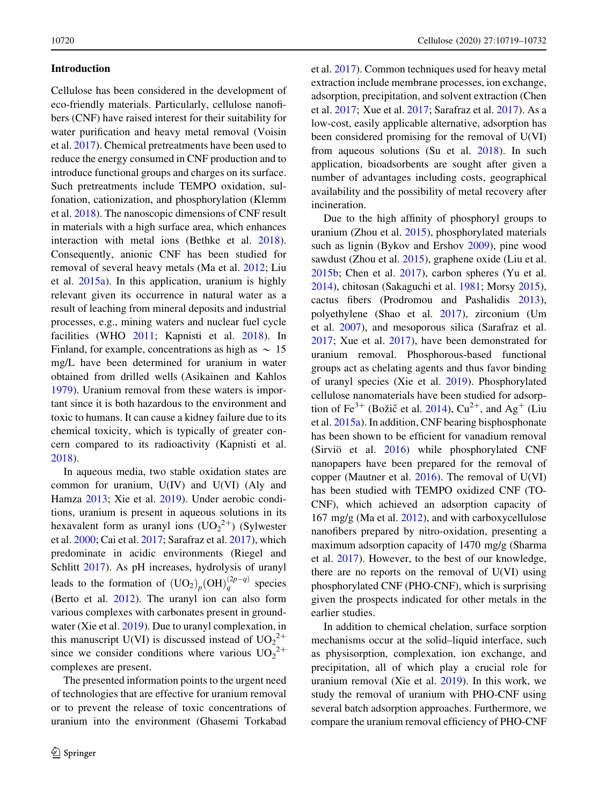#### Introduction

Cellulose has been considered in the development of eco-friendly materials. Particularly, cellulose nanofibers (CNF) have raised interest for their suitability for water purification and heavy metal removal (Voisin et al. [2017\)](#page-13-0). Chemical pretreatments have been used to reduce the energy consumed in CNF production and to introduce functional groups and charges on its surface. Such pretreatments include TEMPO oxidation, sulfonation, cationization, and phosphorylation (Klemm et al. [2018\)](#page-12-0). The nanoscopic dimensions of CNF result in materials with a high surface area, which enhances interaction with metal ions (Bethke et al. [2018](#page-11-0)). Consequently, anionic CNF has been studied for removal of several heavy metals (Ma et al. [2012;](#page-12-0) Liu et al. [2015a](#page-12-0)). In this application, uranium is highly relevant given its occurrence in natural water as a result of leaching from mineral deposits and industrial processes, e.g., mining waters and nuclear fuel cycle facilities (WHO [2011;](#page-13-0) Kapnisti et al. [2018\)](#page-12-0). In Finland, for example, concentrations as high as  $\sim 15$ mg/L have been determined for uranium in water obtained from drilled wells (Asikainen and Kahlos [1979\)](#page-11-0). Uranium removal from these waters is important since it is both hazardous to the environment and toxic to humans. It can cause a kidney failure due to its chemical toxicity, which is typically of greater concern compared to its radioactivity (Kapnisti et al. [2018\)](#page-12-0).

In aqueous media, two stable oxidation states are common for uranium, U(IV) and U(VI) (Aly and Hamza [2013](#page-11-0); Xie et al. [2019](#page-13-0)). Under aerobic conditions, uranium is present in aqueous solutions in its hexavalent form as uranyl ions  $(UO_2^{2+})$  (Sylwester et al. [2000;](#page-13-0) Cai et al. [2017](#page-12-0); Sarafraz et al. [2017](#page-13-0)), which predominate in acidic environments (Riegel and Schlitt [2017\)](#page-13-0). As pH increases, hydrolysis of uranyl leads to the formation of  $({\rm UO_2})_p({\rm OH})_q^{(2p-q)}$  species (Berto et al. [2012\)](#page-11-0). The uranyl ion can also form various complexes with carbonates present in groundwater (Xie et al. [2019\)](#page-13-0). Due to uranyl complexation, in this manuscript U(VI) is discussed instead of  $UO_2^2$ <sup>+</sup> since we consider conditions where various  $UO_2^2$ <sup>+</sup> complexes are present.

The presented information points to the urgent need of technologies that are effective for uranium removal or to prevent the release of toxic concentrations of uranium into the environment (Ghasemi Torkabad

et al. [2017\)](#page-12-0). Common techniques used for heavy metal extraction include membrane processes, ion exchange, adsorption, precipitation, and solvent extraction (Chen et al. [2017](#page-12-0); Xue et al. [2017;](#page-13-0) Sarafraz et al. [2017\)](#page-13-0). As a low-cost, easily applicable alternative, adsorption has been considered promising for the removal of U(VI) from aqueous solutions (Su et al. [2018\)](#page-13-0). In such application, bioadsorbents are sought after given a number of advantages including costs, geographical availability and the possibility of metal recovery after incineration.

Due to the high affinity of phosphoryl groups to uranium (Zhou et al. [2015\)](#page-13-0), phosphorylated materials such as lignin (Bykov and Ershov [2009](#page-12-0)), pine wood sawdust (Zhou et al. [2015\)](#page-13-0), graphene oxide (Liu et al. [2015b;](#page-12-0) Chen et al. [2017\)](#page-12-0), carbon spheres (Yu et al. [2014\)](#page-13-0), chitosan (Sakaguchi et al. [1981](#page-13-0); Morsy [2015](#page-12-0)), cactus fibers (Prodromou and Pashalidis [2013](#page-12-0)), polyethylene (Shao et al. [2017\)](#page-13-0), zirconium (Um et al. [2007\)](#page-13-0), and mesoporous silica (Sarafraz et al. [2017;](#page-13-0) Xue et al. [2017](#page-13-0)), have been demonstrated for uranium removal. Phosphorous-based functional groups act as chelating agents and thus favor binding of uranyl species (Xie et al. [2019](#page-13-0)). Phosphorylated cellulose nanomaterials have been studied for adsorp-tion of Fe<sup>3+</sup> (Božič et al. [2014](#page-11-0)),  $Cu^{2+}$ , and Ag<sup>+</sup> (Liu et al. [2015a](#page-12-0)). In addition, CNF bearing bisphosphonate has been shown to be efficient for vanadium removal (Sirviö et al. [2016\)](#page-13-0) while phosphorylated CNF nanopapers have been prepared for the removal of copper (Mautner et al. [2016\)](#page-12-0). The removal of U(VI) has been studied with TEMPO oxidized CNF (TO-CNF), which achieved an adsorption capacity of 167 mg/g (Ma et al. [2012](#page-12-0)), and with carboxycellulose nanofibers prepared by nitro-oxidation, presenting a maximum adsorption capacity of 1470 mg/g (Sharma et al. [2017](#page-13-0)). However, to the best of our knowledge, there are no reports on the removal of U(VI) using phosphorylated CNF (PHO-CNF), which is surprising given the prospects indicated for other metals in the earlier studies.

In addition to chemical chelation, surface sorption mechanisms occur at the solid–liquid interface, such as physisorption, complexation, ion exchange, and precipitation, all of which play a crucial role for uranium removal (Xie et al. [2019](#page-13-0)). In this work, we study the removal of uranium with PHO-CNF using several batch adsorption approaches. Furthermore, we compare the uranium removal efficiency of PHO-CNF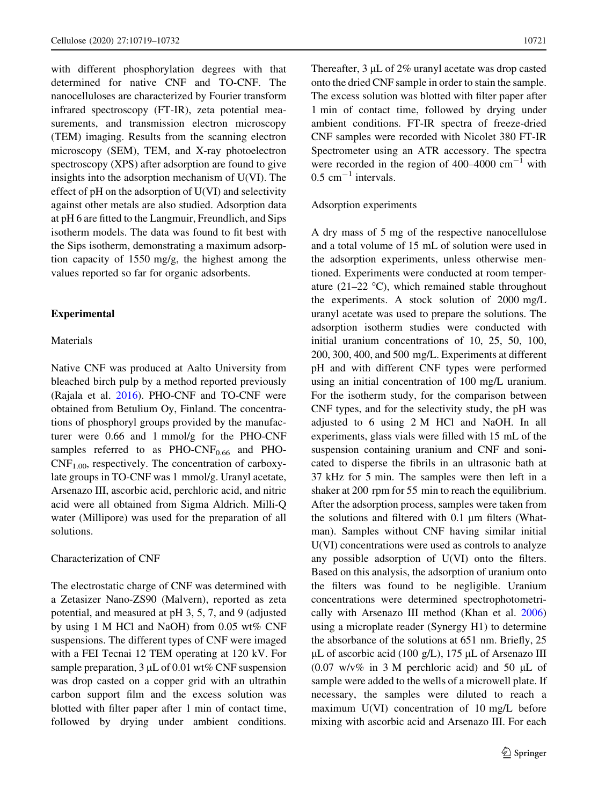with different phosphorylation degrees with that determined for native CNF and TO-CNF. The nanocelluloses are characterized by Fourier transform infrared spectroscopy (FT-IR), zeta potential measurements, and transmission electron microscopy (TEM) imaging. Results from the scanning electron microscopy (SEM), TEM, and X-ray photoelectron spectroscopy (XPS) after adsorption are found to give insights into the adsorption mechanism of U(VI). The effect of pH on the adsorption of U(VI) and selectivity against other metals are also studied. Adsorption data at pH 6 are fitted to the Langmuir, Freundlich, and Sips isotherm models. The data was found to fit best with the Sips isotherm, demonstrating a maximum adsorption capacity of 1550 mg/g, the highest among the values reported so far for organic adsorbents.

# Experimental

#### Materials

Native CNF was produced at Aalto University from bleached birch pulp by a method reported previously (Rajala et al. [2016](#page-12-0)). PHO-CNF and TO-CNF were obtained from Betulium Oy, Finland. The concentrations of phosphoryl groups provided by the manufacturer were 0.66 and 1 mmol/g for the PHO-CNF samples referred to as  $PHO-CNF<sub>0.66</sub>$  and PHO- $CNF<sub>1.00</sub>$ , respectively. The concentration of carboxylate groups in TO-CNF was 1 mmol/g. Uranyl acetate, Arsenazo III, ascorbic acid, perchloric acid, and nitric acid were all obtained from Sigma Aldrich. Milli-Q water (Millipore) was used for the preparation of all solutions.

# Characterization of CNF

The electrostatic charge of CNF was determined with a Zetasizer Nano-ZS90 (Malvern), reported as zeta potential, and measured at pH 3, 5, 7, and 9 (adjusted by using 1 M HCl and NaOH) from 0.05 wt% CNF suspensions. The different types of CNF were imaged with a FEI Tecnai 12 TEM operating at 120 kV. For sample preparation,  $3 \mu L$  of 0.01 wt% CNF suspension was drop casted on a copper grid with an ultrathin carbon support film and the excess solution was blotted with filter paper after 1 min of contact time, followed by drying under ambient conditions.

Thereafter,  $3 \mu L$  of  $2\%$  uranyl acetate was drop casted onto the dried CNF sample in order to stain the sample. The excess solution was blotted with filter paper after 1 min of contact time, followed by drying under ambient conditions. FT-IR spectra of freeze-dried CNF samples were recorded with Nicolet 380 FT-IR Spectrometer using an ATR accessory. The spectra were recorded in the region of  $400-4000$  cm<sup>-1</sup> with  $0.5$  cm<sup>-1</sup> intervals.

#### Adsorption experiments

A dry mass of 5 mg of the respective nanocellulose and a total volume of 15 mL of solution were used in the adsorption experiments, unless otherwise mentioned. Experiments were conducted at room temperature (21–22  $\textdegree$ C), which remained stable throughout the experiments. A stock solution of 2000 mg/L uranyl acetate was used to prepare the solutions. The adsorption isotherm studies were conducted with initial uranium concentrations of 10, 25, 50, 100, 200, 300, 400, and 500 mg/L. Experiments at different pH and with different CNF types were performed using an initial concentration of 100 mg/L uranium. For the isotherm study, for the comparison between CNF types, and for the selectivity study, the pH was adjusted to 6 using 2 M HCl and NaOH. In all experiments, glass vials were filled with 15 mL of the suspension containing uranium and CNF and sonicated to disperse the fibrils in an ultrasonic bath at 37 kHz for 5 min. The samples were then left in a shaker at 200 rpm for 55 min to reach the equilibrium. After the adsorption process, samples were taken from the solutions and filtered with  $0.1 \mu m$  filters (Whatman). Samples without CNF having similar initial U(VI) concentrations were used as controls to analyze any possible adsorption of U(VI) onto the filters. Based on this analysis, the adsorption of uranium onto the filters was found to be negligible. Uranium concentrations were determined spectrophotometrically with Arsenazo III method (Khan et al. [2006\)](#page-12-0) using a microplate reader (Synergy H1) to determine the absorbance of the solutions at 651 nm. Briefly, 25  $\mu$ L of ascorbic acid (100 g/L), 175  $\mu$ L of Arsenazo III (0.07 w/v% in 3 M perchloric acid) and 50  $\mu$ L of sample were added to the wells of a microwell plate. If necessary, the samples were diluted to reach a maximum U(VI) concentration of 10 mg/L before mixing with ascorbic acid and Arsenazo III. For each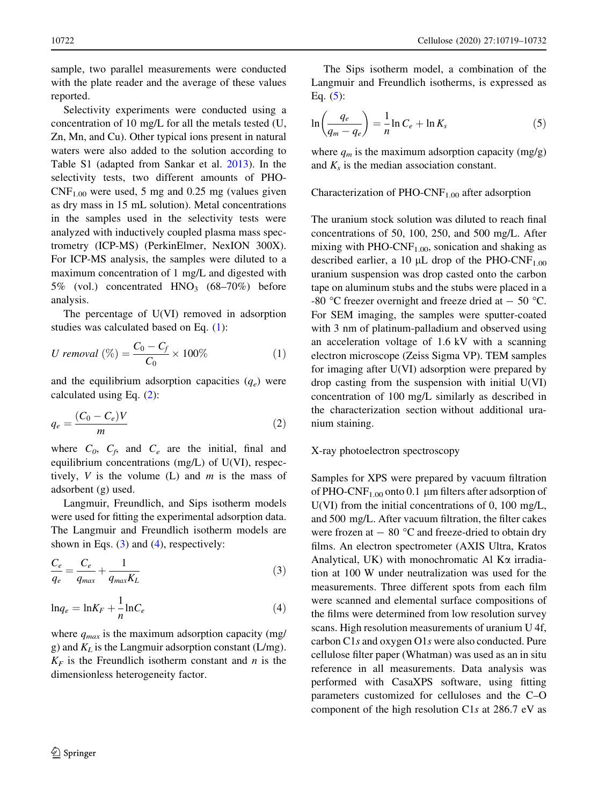<span id="page-3-0"></span>sample, two parallel measurements were conducted with the plate reader and the average of these values reported.

Selectivity experiments were conducted using a concentration of 10 mg/L for all the metals tested (U, Zn, Mn, and Cu). Other typical ions present in natural waters were also added to the solution according to Table S1 (adapted from Sankar et al. [2013\)](#page-13-0). In the selectivity tests, two different amounts of PHO- $CNF<sub>1.00</sub>$  were used, 5 mg and 0.25 mg (values given as dry mass in 15 mL solution). Metal concentrations in the samples used in the selectivity tests were analyzed with inductively coupled plasma mass spectrometry (ICP-MS) (PerkinElmer, NexION 300X). For ICP-MS analysis, the samples were diluted to a maximum concentration of 1 mg/L and digested with 5% (vol.) concentrated  $HNO<sub>3</sub>$  (68–70%) before analysis.

The percentage of U(VI) removed in adsorption studies was calculated based on Eq. (1):

$$
U \text{ removal } (\%) = \frac{C_0 - C_f}{C_0} \times 100\% \tag{1}
$$

and the equilibrium adsorption capacities  $(q_e)$  were calculated using Eq. (2):

$$
q_e = \frac{(C_0 - C_e)V}{m} \tag{2}
$$

where  $C_0$ ,  $C_f$ , and  $C_e$  are the initial, final and equilibrium concentrations (mg/L) of U(VI), respectively, V is the volume  $(L)$  and  $m$  is the mass of adsorbent (g) used.

Langmuir, Freundlich, and Sips isotherm models were used for fitting the experimental adsorption data. The Langmuir and Freundlich isotherm models are shown in Eqs.  $(3)$  and  $(4)$ , respectively:

$$
\frac{C_e}{q_e} = \frac{C_e}{q_{max}} + \frac{1}{q_{max}K_L}
$$
\n(3)

$$
\ln q_e = \ln K_F + \frac{1}{n} \ln C_e \tag{4}
$$

where  $q_{max}$  is the maximum adsorption capacity (mg/ g) and  $K_L$  is the Langmuir adsorption constant (L/mg).  $K_F$  is the Freundlich isotherm constant and n is the dimensionless heterogeneity factor.

The Sips isotherm model, a combination of the Langmuir and Freundlich isotherms, is expressed as Eq.  $(5)$ :

$$
\ln\left(\frac{q_e}{q_m - q_e}\right) = \frac{1}{n}\ln C_e + \ln K_s \tag{5}
$$

where  $q_m$  is the maximum adsorption capacity (mg/g) and  $K_s$  is the median association constant.

#### Characterization of  $PHO-CNF<sub>1.00</sub>$  after adsorption

The uranium stock solution was diluted to reach final concentrations of 50, 100, 250, and 500 mg/L. After mixing with  $PHO-CNF<sub>1.00</sub>$ , sonication and shaking as described earlier, a 10  $\mu$ L drop of the PHO-CNF<sub>1.00</sub> uranium suspension was drop casted onto the carbon tape on aluminum stubs and the stubs were placed in a -80 °C freezer overnight and freeze dried at  $-$  50 °C. For SEM imaging, the samples were sputter-coated with 3 nm of platinum-palladium and observed using an acceleration voltage of 1.6 kV with a scanning electron microscope (Zeiss Sigma VP). TEM samples for imaging after U(VI) adsorption were prepared by drop casting from the suspension with initial U(VI) concentration of 100 mg/L similarly as described in the characterization section without additional uranium staining.

#### X-ray photoelectron spectroscopy

Samples for XPS were prepared by vacuum filtration of PHO-CNF<sub>1.00</sub> onto 0.1  $\mu$ m filters after adsorption of U(VI) from the initial concentrations of 0, 100 mg/L, and 500 mg/L. After vacuum filtration, the filter cakes were frozen at  $-80$  °C and freeze-dried to obtain dry films. An electron spectrometer (AXIS Ultra, Kratos Analytical, UK) with monochromatic Al  $K\alpha$  irradiation at 100 W under neutralization was used for the measurements. Three different spots from each film were scanned and elemental surface compositions of the films were determined from low resolution survey scans. High resolution measurements of uranium U 4f, carbon C1s and oxygen O1s were also conducted. Pure cellulose filter paper (Whatman) was used as an in situ reference in all measurements. Data analysis was performed with CasaXPS software, using fitting parameters customized for celluloses and the C–O component of the high resolution C1s at 286.7 eV as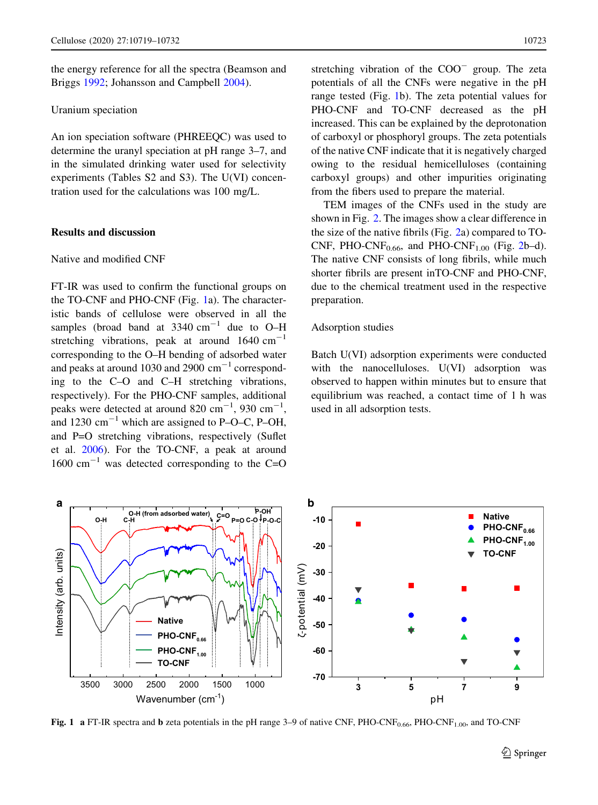the energy reference for all the spectra (Beamson and Briggs [1992](#page-11-0); Johansson and Campbell [2004\)](#page-12-0).

#### Uranium speciation

An ion speciation software (PHREEQC) was used to determine the uranyl speciation at pH range 3–7, and in the simulated drinking water used for selectivity experiments (Tables S2 and S3). The U(VI) concentration used for the calculations was 100 mg/L.

# Results and discussion

### Native and modified CNF

FT-IR was used to confirm the functional groups on the TO-CNF and PHO-CNF (Fig. 1a). The characteristic bands of cellulose were observed in all the samples (broad band at  $3340 \text{ cm}^{-1}$  due to O-H stretching vibrations, peak at around  $1640 \text{ cm}^{-1}$ corresponding to the O–H bending of adsorbed water and peaks at around 1030 and 2900  $\text{cm}^{-1}$  corresponding to the C–O and C–H stretching vibrations, respectively). For the PHO-CNF samples, additional peaks were detected at around  $820 \text{ cm}^{-1}$ ,  $930 \text{ cm}^{-1}$ , and 1230  $\text{cm}^{-1}$  which are assigned to P–O–C, P–OH, and P=O stretching vibrations, respectively (Suflet et al. [2006\)](#page-13-0). For the TO-CNF, a peak at around  $1600 \text{ cm}^{-1}$  was detected corresponding to the C=O

stretching vibration of the COO<sup>-</sup> group. The zeta potentials of all the CNFs were negative in the pH range tested (Fig. 1b). The zeta potential values for PHO-CNF and TO-CNF decreased as the pH increased. This can be explained by the deprotonation of carboxyl or phosphoryl groups. The zeta potentials of the native CNF indicate that it is negatively charged owing to the residual hemicelluloses (containing carboxyl groups) and other impurities originating from the fibers used to prepare the material.

TEM images of the CNFs used in the study are shown in Fig. [2.](#page-5-0) The images show a clear difference in the size of the native fibrils (Fig. [2a](#page-5-0)) compared to TO-CNF, PHO-CNF<sub>0.66</sub>, and PHO-CNF<sub>1.00</sub> (Fig. [2b](#page-5-0)–d). The native CNF consists of long fibrils, while much shorter fibrils are present inTO-CNF and PHO-CNF, due to the chemical treatment used in the respective preparation.

# Adsorption studies

Batch U(VI) adsorption experiments were conducted with the nanocelluloses. U(VI) adsorption was observed to happen within minutes but to ensure that equilibrium was reached, a contact time of 1 h was used in all adsorption tests.



Fig. 1 a FT-IR spectra and b zeta potentials in the pH range 3–9 of native CNF, PHO-CNF<sub>0.66</sub>, PHO-CNF<sub>1.00</sub>, and TO-CNF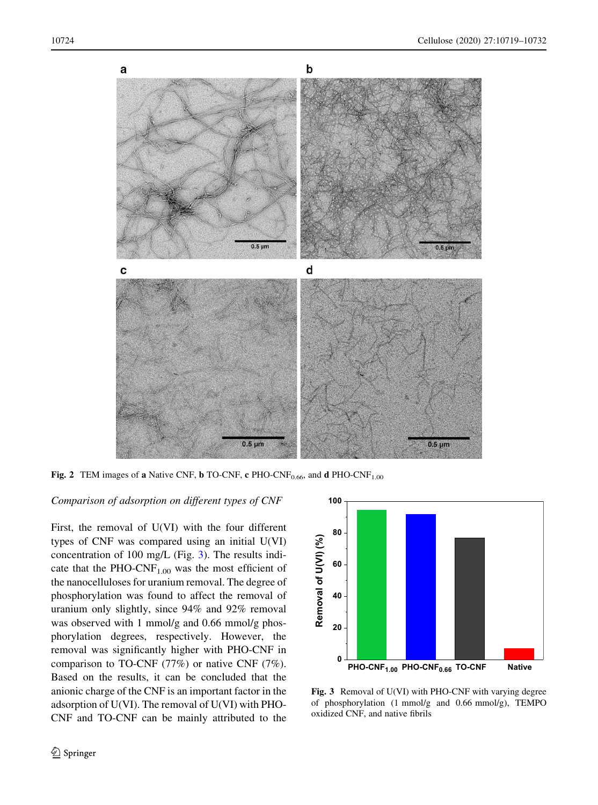<span id="page-5-0"></span>

Fig. 2 TEM images of a Native CNF, b TO-CNF, c PHO-CNF<sub>0.66</sub>, and d PHO-CNF<sub>1.00</sub>

# Comparison of adsorption on different types of CNF

First, the removal of U(VI) with the four different types of CNF was compared using an initial U(VI) concentration of 100 mg/L (Fig. 3). The results indicate that the PHO-CNF<sub>1.00</sub> was the most efficient of the nanocelluloses for uranium removal. The degree of phosphorylation was found to affect the removal of uranium only slightly, since 94% and 92% removal was observed with 1 mmol/g and 0.66 mmol/g phosphorylation degrees, respectively. However, the removal was significantly higher with PHO-CNF in comparison to TO-CNF (77%) or native CNF (7%). Based on the results, it can be concluded that the anionic charge of the CNF is an important factor in the adsorption of U(VI). The removal of U(VI) with PHO-CNF and TO-CNF can be mainly attributed to the



Fig. 3 Removal of U(VI) with PHO-CNF with varying degree of phosphorylation (1 mmol/g and 0.66 mmol/g), TEMPO oxidized CNF, and native fibrils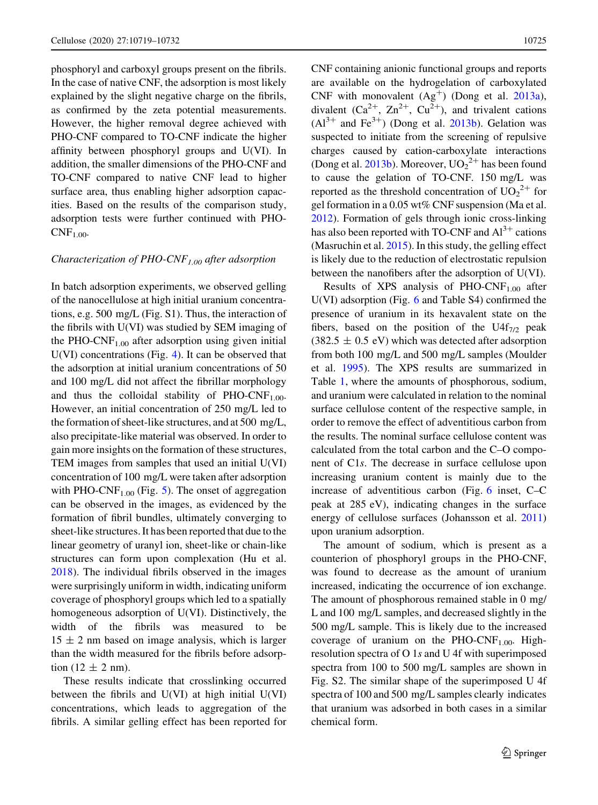phosphoryl and carboxyl groups present on the fibrils. In the case of native CNF, the adsorption is most likely explained by the slight negative charge on the fibrils, as confirmed by the zeta potential measurements. However, the higher removal degree achieved with PHO-CNF compared to TO-CNF indicate the higher affinity between phosphoryl groups and U(VI). In addition, the smaller dimensions of the PHO-CNF and TO-CNF compared to native CNF lead to higher surface area, thus enabling higher adsorption capacities. Based on the results of the comparison study, adsorption tests were further continued with PHO- $CNF<sub>1.00</sub>$ .

#### Characterization of PHO-CNF<sub>1.00</sub> after adsorption

In batch adsorption experiments, we observed gelling of the nanocellulose at high initial uranium concentrations, e.g. 500 mg/L (Fig. S1). Thus, the interaction of the fibrils with U(VI) was studied by SEM imaging of the PHO-CNF<sub>1.00</sub> after adsorption using given initial U(VI) concentrations (Fig. [4](#page-7-0)). It can be observed that the adsorption at initial uranium concentrations of 50 and 100 mg/L did not affect the fibrillar morphology and thus the colloidal stability of  $PHO-CNF<sub>1.00</sub>$ . However, an initial concentration of 250 mg/L led to the formation of sheet-like structures, and at 500 mg/L, also precipitate-like material was observed. In order to gain more insights on the formation of these structures, TEM images from samples that used an initial U(VI) concentration of 100 mg/L were taken after adsorption with PHO-CNF<sub>1.00</sub> (Fig. [5](#page-8-0)). The onset of aggregation can be observed in the images, as evidenced by the formation of fibril bundles, ultimately converging to sheet-like structures. It has been reported that due to the linear geometry of uranyl ion, sheet-like or chain-like structures can form upon complexation (Hu et al. [2018\)](#page-12-0). The individual fibrils observed in the images were surprisingly uniform in width, indicating uniform coverage of phosphoryl groups which led to a spatially homogeneous adsorption of U(VI). Distinctively, the width of the fibrils was measured to be  $15 \pm 2$  nm based on image analysis, which is larger than the width measured for the fibrils before adsorption  $(12 \pm 2 \text{ nm})$ .

These results indicate that crosslinking occurred between the fibrils and U(VI) at high initial U(VI) concentrations, which leads to aggregation of the fibrils. A similar gelling effect has been reported for CNF containing anionic functional groups and reports are available on the hydrogelation of carboxylated CNF with monovalent  $(Ag^+)$  (Dong et al. [2013a](#page-12-0)), divalent  $(Ca^{2+}, Zn^{2+}, Cu^{2+})$ , and trivalent cations  $(A1^{3+}$  and Fe<sup>3+</sup>) (Dong et al. [2013b\)](#page-12-0). Gelation was suspected to initiate from the screening of repulsive charges caused by cation-carboxylate interactions (Dong et al. [2013b\)](#page-12-0). Moreover,  $UO_2^{2+}$  has been found to cause the gelation of TO-CNF. 150 mg/L was reported as the threshold concentration of  $UO_2^{2+}$  for gel formation in a 0.05 wt% CNF suspension (Ma et al. [2012\)](#page-12-0). Formation of gels through ionic cross-linking has also been reported with TO-CNF and  $Al^{3+}$  cations (Masruchin et al. [2015](#page-12-0)). In this study, the gelling effect is likely due to the reduction of electrostatic repulsion between the nanofibers after the adsorption of U(VI).

Results of XPS analysis of  $PHO-CNF<sub>1.00</sub>$  after U(VI) adsorption (Fig. [6](#page-8-0) and Table S4) confirmed the presence of uranium in its hexavalent state on the fibers, based on the position of the U4f<sub>7/2</sub> peak  $(382.5 \pm 0.5 \text{ eV})$  which was detected after adsorption from both 100 mg/L and 500 mg/L samples (Moulder et al. [1995\)](#page-12-0). The XPS results are summarized in Table [1](#page-9-0), where the amounts of phosphorous, sodium, and uranium were calculated in relation to the nominal surface cellulose content of the respective sample, in order to remove the effect of adventitious carbon from the results. The nominal surface cellulose content was calculated from the total carbon and the C–O component of C1s. The decrease in surface cellulose upon increasing uranium content is mainly due to the increase of adventitious carbon (Fig. [6](#page-8-0) inset, C–C peak at 285 eV), indicating changes in the surface energy of cellulose surfaces (Johansson et al. [2011\)](#page-12-0) upon uranium adsorption.

The amount of sodium, which is present as a counterion of phosphoryl groups in the PHO-CNF, was found to decrease as the amount of uranium increased, indicating the occurrence of ion exchange. The amount of phosphorous remained stable in 0 mg/ L and 100 mg/L samples, and decreased slightly in the 500 mg/L sample. This is likely due to the increased coverage of uranium on the PHO-CNF<sub>1.00</sub>. Highresolution spectra of O 1s and U 4f with superimposed spectra from 100 to 500 mg/L samples are shown in Fig. S2. The similar shape of the superimposed U 4f spectra of 100 and 500 mg/L samples clearly indicates that uranium was adsorbed in both cases in a similar chemical form.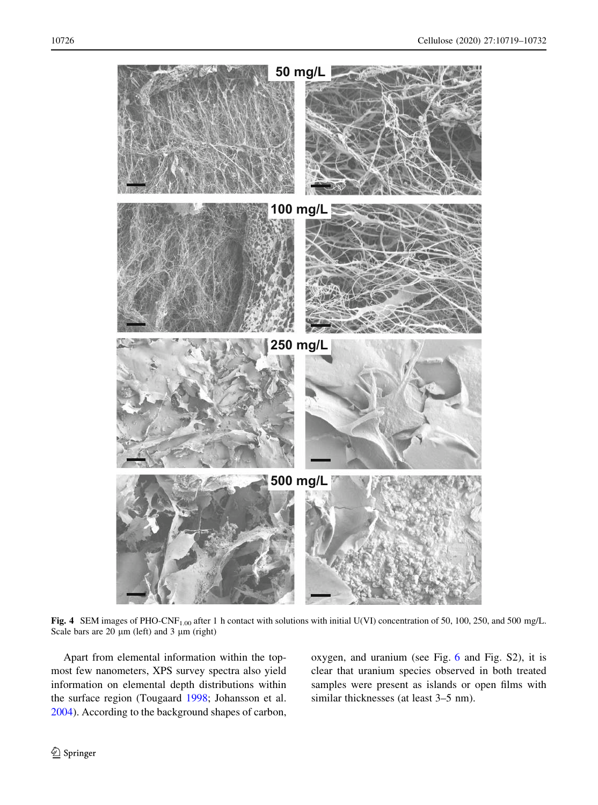<span id="page-7-0"></span>

Fig. 4 SEM images of PHO-CNF1.00 after 1 h contact with solutions with initial U(VI) concentration of 50, 100, 250, and 500 mg/L. Scale bars are 20  $\mu$ m (left) and 3  $\mu$ m (right)

Apart from elemental information within the topmost few nanometers, XPS survey spectra also yield information on elemental depth distributions within the surface region (Tougaard [1998](#page-13-0); Johansson et al. [2004\)](#page-12-0). According to the background shapes of carbon, oxygen, and uranium (see Fig. [6](#page-8-0) and Fig. S2), it is clear that uranium species observed in both treated samples were present as islands or open films with similar thicknesses (at least 3–5 nm).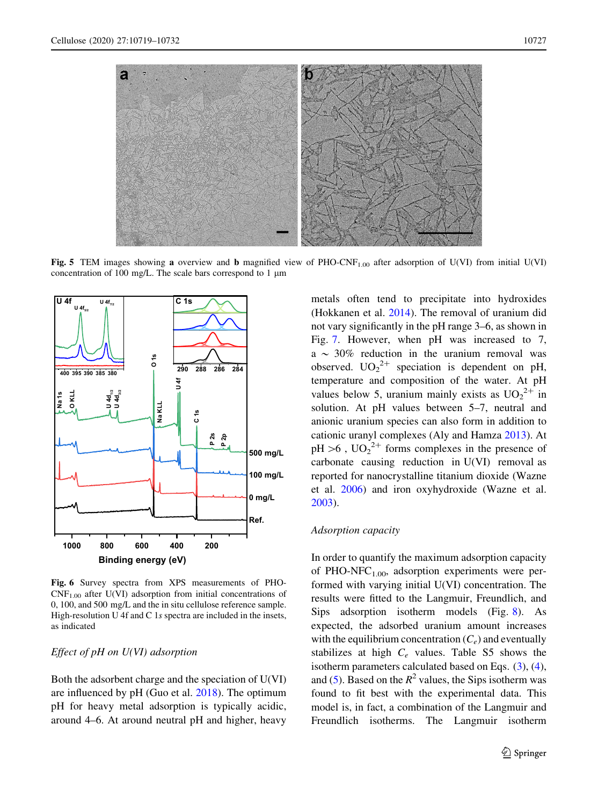<span id="page-8-0"></span>

Fig. 5 TEM images showing a overview and b magnified view of PHO-CNF<sub>1.00</sub> after adsorption of U(VI) from initial U(VI) concentration of 100 mg/L. The scale bars correspond to 1  $\mu$ m



Fig. 6 Survey spectra from XPS measurements of PHO- $CNF<sub>1.00</sub>$  after U(VI) adsorption from initial concentrations of 0, 100, and 500 mg/L and the in situ cellulose reference sample. High-resolution U 4f and C 1s spectra are included in the insets, as indicated

#### Effect of pH on U(VI) adsorption

Both the adsorbent charge and the speciation of U(VI) are influenced by pH (Guo et al. [2018](#page-12-0)). The optimum pH for heavy metal adsorption is typically acidic, around 4–6. At around neutral pH and higher, heavy

metals often tend to precipitate into hydroxides (Hokkanen et al. [2014\)](#page-12-0). The removal of uranium did not vary significantly in the pH range 3–6, as shown in Fig. [7.](#page-9-0) However, when pH was increased to 7,  $a \sim 30\%$  reduction in the uranium removal was observed.  $UO_2^{2+}$  speciation is dependent on pH, temperature and composition of the water. At pH values below 5, uranium mainly exists as  $UO_2^{2+}$  in solution. At pH values between 5–7, neutral and anionic uranium species can also form in addition to cationic uranyl complexes (Aly and Hamza [2013\)](#page-11-0). At  $pH > 6$ ,  $UO_2^{2+}$  forms complexes in the presence of carbonate causing reduction in U(VI) removal as reported for nanocrystalline titanium dioxide (Wazne et al. [2006](#page-13-0)) and iron oxyhydroxide (Wazne et al. [2003\)](#page-13-0).

#### Adsorption capacity

In order to quantify the maximum adsorption capacity of PHO-NFC<sub>1.00</sub>, adsorption experiments were performed with varying initial U(VI) concentration. The results were fitted to the Langmuir, Freundlich, and Sips adsorption isotherm models (Fig. [8\)](#page-10-0). As expected, the adsorbed uranium amount increases with the equilibrium concentration  $(C_e)$  and eventually stabilizes at high  $C_e$  values. Table S5 shows the isotherm parameters calculated based on Eqs. [\(3](#page-3-0)), [\(4](#page-3-0)), and ([5\)](#page-3-0). Based on the  $R^2$  values, the Sips isotherm was found to fit best with the experimental data. This model is, in fact, a combination of the Langmuir and Freundlich isotherms. The Langmuir isotherm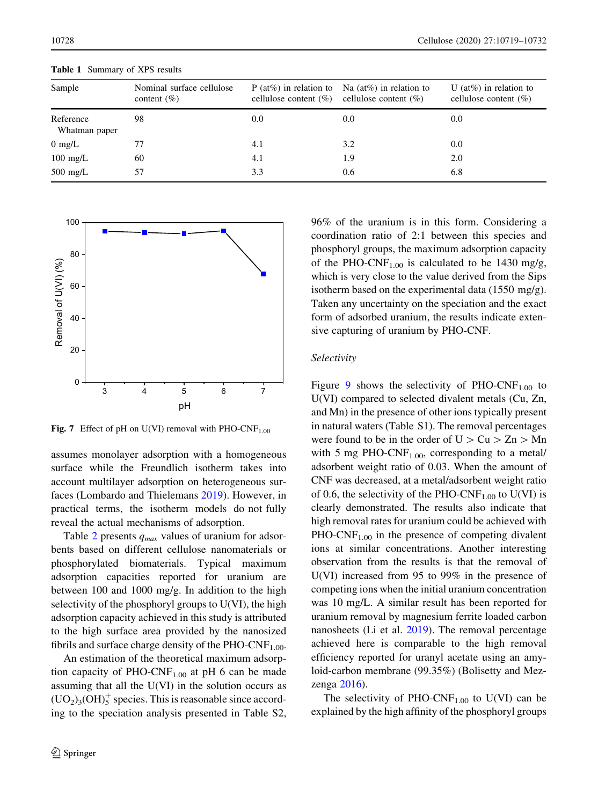| Sample                     | Nominal surface cellulose<br>content $(\% )$ | cellulose content $(\%)$ | P (at%) in relation to Na (at%) in relation to<br>cellulose content $(\%)$ | U (at%) in relation to<br>cellulose content $(\%)$ |
|----------------------------|----------------------------------------------|--------------------------|----------------------------------------------------------------------------|----------------------------------------------------|
| Reference<br>Whatman paper | 98                                           | 0.0                      | 0.0                                                                        | 0.0                                                |
| $0 \text{ mg/L}$           |                                              | 4.1                      | 3.2                                                                        | 0.0                                                |
| $100 \text{ mg/L}$         | 60                                           | 4.1                      | 1.9                                                                        | 2.0                                                |
| $500 \text{ mg/L}$         | 57                                           | 3.3                      | 0.6                                                                        | 6.8                                                |
|                            |                                              |                          |                                                                            |                                                    |

<span id="page-9-0"></span>Table 1 Summary of XPS results



Fig. 7 Effect of pH on U(VI) removal with PHO-CNF<sub>1.00</sub>

assumes monolayer adsorption with a homogeneous surface while the Freundlich isotherm takes into account multilayer adsorption on heterogeneous surfaces (Lombardo and Thielemans [2019](#page-12-0)). However, in practical terms, the isotherm models do not fully reveal the actual mechanisms of adsorption.

Table [2](#page-10-0) presents  $q_{max}$  values of uranium for adsorbents based on different cellulose nanomaterials or phosphorylated biomaterials. Typical maximum adsorption capacities reported for uranium are between 100 and 1000 mg/g. In addition to the high selectivity of the phosphoryl groups to U(VI), the high adsorption capacity achieved in this study is attributed to the high surface area provided by the nanosized fibrils and surface charge density of the  $PHO-CNF<sub>1.00</sub>$ .

An estimation of the theoretical maximum adsorption capacity of PHO-CNF<sub>1.00</sub> at pH 6 can be made assuming that all the U(VI) in the solution occurs as  $(UO<sub>2</sub>)<sub>3</sub>(OH)<sup>+</sup><sub>5</sub>$  species. This is reasonable since according to the speciation analysis presented in Table S2,

96% of the uranium is in this form. Considering a coordination ratio of 2:1 between this species and phosphoryl groups, the maximum adsorption capacity of the PHO-CNF<sub>1.00</sub> is calculated to be 1430 mg/g, which is very close to the value derived from the Sips isotherm based on the experimental data (1550 mg/g). Taken any uncertainty on the speciation and the exact form of adsorbed uranium, the results indicate extensive capturing of uranium by PHO-CNF.

# Selectivity

Figure [9](#page-11-0) shows the selectivity of PHO-CNF<sub>1.00</sub> to U(VI) compared to selected divalent metals (Cu, Zn, and Mn) in the presence of other ions typically present in natural waters (Table S1). The removal percentages were found to be in the order of  $U > Cu > Zn > Mn$ with 5 mg PHO-CNF<sub>1.00</sub>, corresponding to a metal/ adsorbent weight ratio of 0.03. When the amount of CNF was decreased, at a metal/adsorbent weight ratio of 0.6, the selectivity of the PHO-CNF<sub>1.00</sub> to U(VI) is clearly demonstrated. The results also indicate that high removal rates for uranium could be achieved with  $PHO-CNF<sub>1.00</sub>$  in the presence of competing divalent ions at similar concentrations. Another interesting observation from the results is that the removal of U(VI) increased from 95 to 99% in the presence of competing ions when the initial uranium concentration was 10 mg/L. A similar result has been reported for uranium removal by magnesium ferrite loaded carbon nanosheets (Li et al. [2019](#page-12-0)). The removal percentage achieved here is comparable to the high removal efficiency reported for uranyl acetate using an amyloid-carbon membrane (99.35%) (Bolisetty and Mezzenga [2016](#page-11-0)).

The selectivity of PHO-CNF<sub>1.00</sub> to U(VI) can be explained by the high affinity of the phosphoryl groups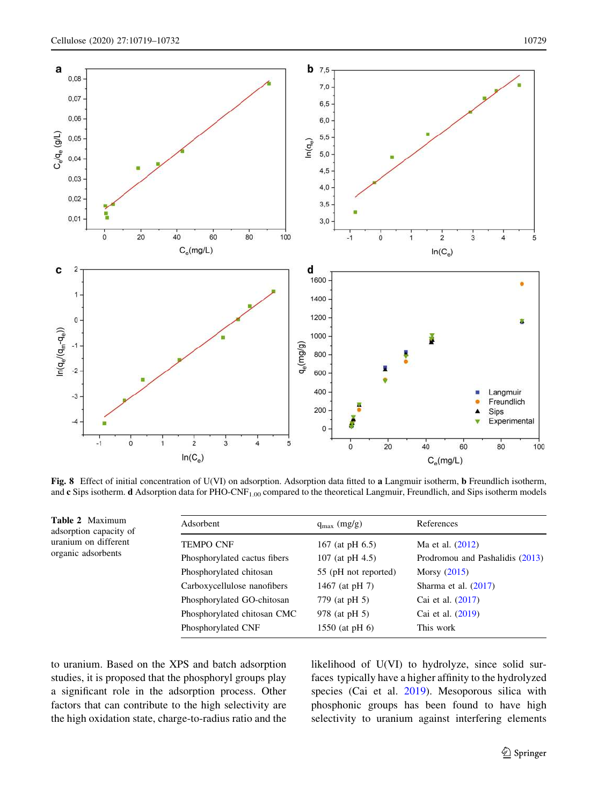<span id="page-10-0"></span>

Fig. 8 Effect of initial concentration of U(VI) on adsorption. Adsorption data fitted to a Langmuir isotherm, b Freundlich isotherm, and c Sips isotherm. d Adsorption data for PHO-CNF<sub>1.00</sub> compared to the theoretical Langmuir, Freundlich, and Sips isotherm models

| <b>Table 2</b> Maximum<br>adsorption capacity of<br>uranium on different<br>organic adsorbents | Adsorbent                    | $q_{max}$ (mg/g)     | References                      |
|------------------------------------------------------------------------------------------------|------------------------------|----------------------|---------------------------------|
|                                                                                                | <b>TEMPO CNF</b>             | 167 (at pH 6.5)      | Ma et al. (2012)                |
|                                                                                                | Phosphorylated cactus fibers | 107 (at $pH$ 4.5)    | Prodromou and Pashalidis (2013) |
|                                                                                                | Phosphorylated chitosan      | 55 (pH not reported) | Morsy $(2015)$                  |
|                                                                                                | Carboxycellulose nanofibers  | 1467 (at pH 7)       | Sharma et al. $(2017)$          |
|                                                                                                | Phosphorylated GO-chitosan   | 779 (at pH 5)        | Cai et al. (2017)               |
|                                                                                                | Phosphorylated chitosan CMC  | 978 (at pH 5)        | Cai et al. (2019)               |
|                                                                                                | Phosphorylated CNF           | 1550 (at $pH_0$ )    | This work                       |
|                                                                                                |                              |                      |                                 |

to uranium. Based on the XPS and batch adsorption studies, it is proposed that the phosphoryl groups play a significant role in the adsorption process. Other factors that can contribute to the high selectivity are the high oxidation state, charge-to-radius ratio and the likelihood of U(VI) to hydrolyze, since solid surfaces typically have a higher affinity to the hydrolyzed species (Cai et al. [2019\)](#page-12-0). Mesoporous silica with phosphonic groups has been found to have high selectivity to uranium against interfering elements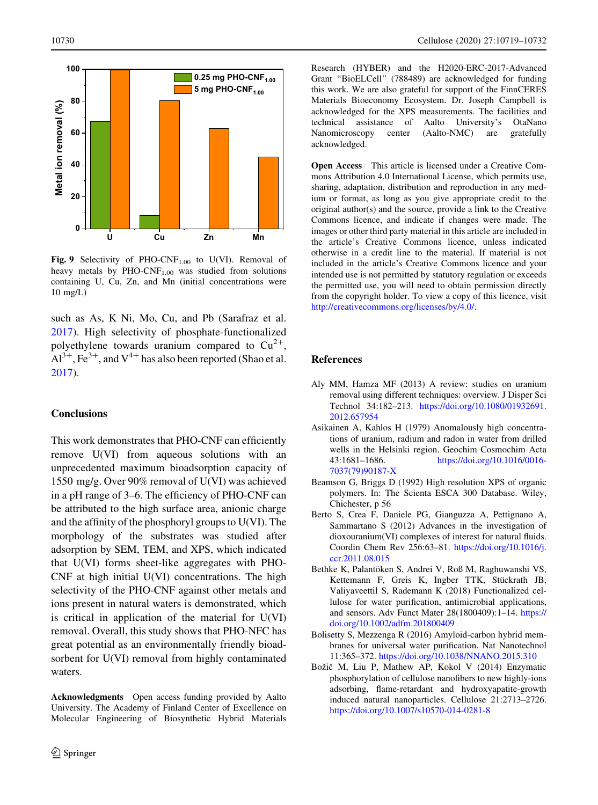<span id="page-11-0"></span>

Fig. 9 Selectivity of PHO-CNF<sub>1.00</sub> to U(VI). Removal of heavy metals by  $PHO-CNF<sub>1.00</sub>$  was studied from solutions containing U, Cu, Zn, and Mn (initial concentrations were 10 mg/L)

such as As, K Ni, Mo, Cu, and Pb (Sarafraz et al. [2017\)](#page-13-0). High selectivity of phosphate-functionalized polyethylene towards uranium compared to  $Cu^{2+}$ ,  $Al^{3+}$ , Fe<sup>3+</sup>, and V<sup>4+</sup> has also been reported (Shao et al. [2017\)](#page-13-0).

# **Conclusions**

This work demonstrates that PHO-CNF can efficiently remove U(VI) from aqueous solutions with an unprecedented maximum bioadsorption capacity of 1550 mg/g. Over 90% removal of U(VI) was achieved in a pH range of 3–6. The efficiency of PHO-CNF can be attributed to the high surface area, anionic charge and the affinity of the phosphoryl groups to U(VI). The morphology of the substrates was studied after adsorption by SEM, TEM, and XPS, which indicated that U(VI) forms sheet-like aggregates with PHO-CNF at high initial U(VI) concentrations. The high selectivity of the PHO-CNF against other metals and ions present in natural waters is demonstrated, which is critical in application of the material for U(VI) removal. Overall, this study shows that PHO-NFC has great potential as an environmentally friendly bioadsorbent for U(VI) removal from highly contaminated waters.

Acknowledgments Open access funding provided by Aalto University. The Academy of Finland Center of Excellence on Molecular Engineering of Biosynthetic Hybrid Materials Research (HYBER) and the H2020-ERC-2017-Advanced Grant ''BioELCell'' (788489) are acknowledged for funding this work. We are also grateful for support of the FinnCERES Materials Bioeconomy Ecosystem. Dr. Joseph Campbell is acknowledged for the XPS measurements. The facilities and technical assistance of Aalto University's OtaNano Nanomicroscopy center (Aalto-NMC) are gratefully acknowledged.

Open Access This article is licensed under a Creative Commons Attribution 4.0 International License, which permits use, sharing, adaptation, distribution and reproduction in any medium or format, as long as you give appropriate credit to the original author(s) and the source, provide a link to the Creative Commons licence, and indicate if changes were made. The images or other third party material in this article are included in the article's Creative Commons licence, unless indicated otherwise in a credit line to the material. If material is not included in the article's Creative Commons licence and your intended use is not permitted by statutory regulation or exceeds the permitted use, you will need to obtain permission directly from the copyright holder. To view a copy of this licence, visit <http://creativecommons.org/licenses/by/4.0/>.

# References

- Aly MM, Hamza MF (2013) A review: studies on uranium removal using different techniques: overview. J Disper Sci Technol 34:182–213. [https://doi.org/10.1080/01932691.](https://doi.org/10.1080/01932691.2012.657954) [2012.657954](https://doi.org/10.1080/01932691.2012.657954)
- Asikainen A, Kahlos H (1979) Anomalously high concentrations of uranium, radium and radon in water from drilled wells in the Helsinki region. Geochim Cosmochim Acta 43:1681–1686. [https://doi.org/10.1016/0016-](https://doi.org/10.1016/0016-7037(79)90187-X) [7037\(79\)90187-X](https://doi.org/10.1016/0016-7037(79)90187-X)
- Beamson G, Briggs D (1992) High resolution XPS of organic polymers. In: The Scienta ESCA 300 Database. Wiley, Chichester, p 56
- Berto S, Crea F, Daniele PG, Gianguzza A, Pettignano A, Sammartano S (2012) Advances in the investigation of dioxouranium(VI) complexes of interest for natural fluids. Coordin Chem Rev 256:63–81. [https://doi.org/10.1016/j.](https://doi.org/10.1016/j.ccr.2011.08.015) [ccr.2011.08.015](https://doi.org/10.1016/j.ccr.2011.08.015)
- Bethke K, Palantöken S, Andrei V, Roß M, Raghuwanshi VS, Kettemann F, Greis K, Ingber TTK, Stückrath JB, Valiyaveettil S, Rademann K (2018) Functionalized cellulose for water purification, antimicrobial applications, and sensors. Adv Funct Mater 28(1800409):1–14. [https://](https://doi.org/10.1002/adfm.201800409) [doi.org/10.1002/adfm.201800409](https://doi.org/10.1002/adfm.201800409)
- Bolisetty S, Mezzenga R (2016) Amyloid-carbon hybrid membranes for universal water purification. Nat Nanotechnol 11:365–372. <https://doi.org/10.1038/NNANO.2015.310>
- Božič M, Liu P, Mathew AP, Kokol V (2014) Enzymatic phosphorylation of cellulose nanofibers to new highly-ions adsorbing, flame-retardant and hydroxyapatite-growth induced natural nanoparticles. Cellulose 21:2713–2726. <https://doi.org/10.1007/s10570-014-0281-8>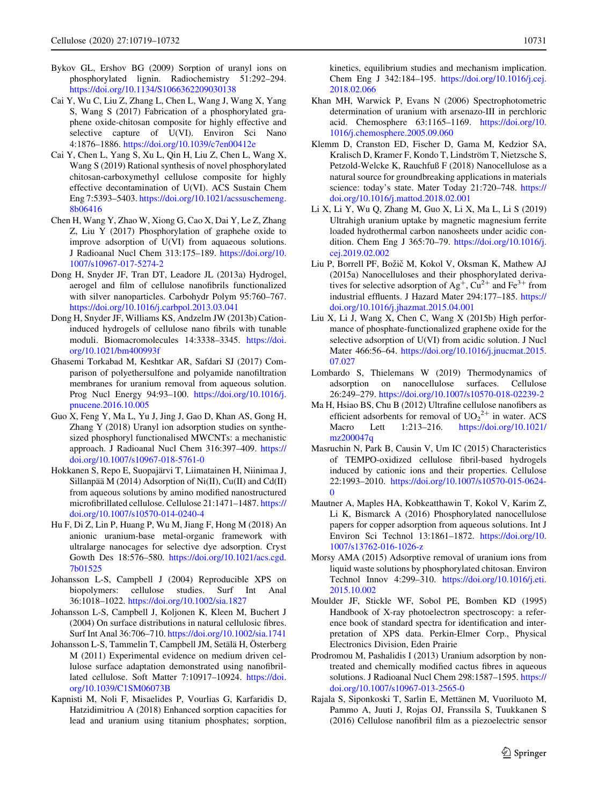- <span id="page-12-0"></span>Bykov GL, Ershov BG (2009) Sorption of uranyl ions on phosphorylated lignin. Radiochemistry 51:292–294. <https://doi.org/10.1134/S1066362209030138>
- Cai Y, Wu C, Liu Z, Zhang L, Chen L, Wang J, Wang X, Yang S, Wang S (2017) Fabrication of a phosphorylated graphene oxide-chitosan composite for highly effective and selective capture of U(VI). Environ Sci Nano 4:1876–1886. <https://doi.org/10.1039/c7en00412e>
- Cai Y, Chen L, Yang S, Xu L, Qin H, Liu Z, Chen L, Wang X, Wang S (2019) Rational synthesis of novel phosphorylated chitosan-carboxymethyl cellulose composite for highly effective decontamination of U(VI). ACS Sustain Chem Eng 7:5393–5403. [https://doi.org/10.1021/acssuschemeng.](https://doi.org/10.1021/acssuschemeng.8b06416) [8b06416](https://doi.org/10.1021/acssuschemeng.8b06416)
- Chen H, Wang Y, Zhao W, Xiong G, Cao X, Dai Y, Le Z, Zhang Z, Liu Y (2017) Phosphorylation of graphehe oxide to improve adsorption of U(VI) from aquaeous solutions. J Radioanal Nucl Chem 313:175–189. [https://doi.org/10.](https://doi.org/10.1007/s10967-017-5274-2) [1007/s10967-017-5274-2](https://doi.org/10.1007/s10967-017-5274-2)
- Dong H, Snyder JF, Tran DT, Leadore JL (2013a) Hydrogel, aerogel and film of cellulose nanofibrils functionalized with silver nanoparticles. Carbohydr Polym 95:760–767. <https://doi.org/10.1016/j.carbpol.2013.03.041>
- Dong H, Snyder JF, Williams KS, Andzelm JW (2013b) Cationinduced hydrogels of cellulose nano fibrils with tunable moduli. Biomacromolecules 14:3338–3345. [https://doi.](https://doi.org/10.1021/bm400993f) [org/10.1021/bm400993f](https://doi.org/10.1021/bm400993f)
- Ghasemi Torkabad M, Keshtkar AR, Safdari SJ (2017) Comparison of polyethersulfone and polyamide nanofiltration membranes for uranium removal from aqueous solution. Prog Nucl Energy 94:93–100. [https://doi.org/10.1016/j.](https://doi.org/10.1016/j.pnucene.2016.10.005) [pnucene.2016.10.005](https://doi.org/10.1016/j.pnucene.2016.10.005)
- Guo X, Feng Y, Ma L, Yu J, Jing J, Gao D, Khan AS, Gong H, Zhang Y (2018) Uranyl ion adsorption studies on synthesized phosphoryl functionalised MWCNTs: a mechanistic approach. J Radioanal Nucl Chem 316:397–409. [https://](https://doi.org/10.1007/s10967-018-5761-0) [doi.org/10.1007/s10967-018-5761-0](https://doi.org/10.1007/s10967-018-5761-0)
- Hokkanen S, Repo E, Suopajärvi T, Liimatainen H, Niinimaa J, Sillanpää M (2014) Adsorption of Ni(II), Cu(II) and Cd(II) from aqueous solutions by amino modified nanostructured microfibrillated cellulose. Cellulose 21:1471–1487. [https://](https://doi.org/10.1007/s10570-014-0240-4) [doi.org/10.1007/s10570-014-0240-4](https://doi.org/10.1007/s10570-014-0240-4)
- Hu F, Di Z, Lin P, Huang P, Wu M, Jiang F, Hong M (2018) An anionic uranium-base metal-organic framework with ultralarge nanocages for selective dye adsorption. Cryst Gowth Des 18:576–580. [https://doi.org/10.1021/acs.cgd.](https://doi.org/10.1021/acs.cgd.7b01525) [7b01525](https://doi.org/10.1021/acs.cgd.7b01525)
- Johansson L-S, Campbell J (2004) Reproducible XPS on biopolymers: cellulose studies. Surf Int Anal 36:1018–1022. <https://doi.org/10.1002/sia.1827>
- Johansson L-S, Campbell J, Koljonen K, Kleen M, Buchert J (2004) On surface distributions in natural cellulosic fibres. Surf Int Anal 36:706–710. <https://doi.org/10.1002/sia.1741>
- Johansson L-S, Tammelin T, Campbell JM, Setälä H, Österberg M (2011) Experimental evidence on medium driven cellulose surface adaptation demonstrated using nanofibrillated cellulose. Soft Matter 7:10917–10924. [https://doi.](https://doi.org/10.1039/C1SM06073B) [org/10.1039/C1SM06073B](https://doi.org/10.1039/C1SM06073B)
- Kapnisti M, Noli F, Misaelides P, Vourlias G, Karfaridis D, Hatzidimitriou A (2018) Enhanced sorption capacities for lead and uranium using titanium phosphates; sorption,

kinetics, equilibrium studies and mechanism implication. Chem Eng J 342:184–195. [https://doi.org/10.1016/j.cej.](https://doi.org/10.1016/j.cej.2018.02.066) [2018.02.066](https://doi.org/10.1016/j.cej.2018.02.066)

- Khan MH, Warwick P, Evans N (2006) Spectrophotometric determination of uranium with arsenazo-III in perchloric acid. Chemosphere 63:1165–1169. [https://doi.org/10.](https://doi.org/10.1016/j.chemosphere.2005.09.060) [1016/j.chemosphere.2005.09.060](https://doi.org/10.1016/j.chemosphere.2005.09.060)
- Klemm D, Cranston ED, Fischer D, Gama M, Kedzior SA, Kralisch D, Kramer F, Kondo T, Lindström T, Nietzsche S, Petzold-Welcke K, Rauchfuß F (2018) Nanocellulose as a natural source for groundbreaking applications in materials science: today's state. Mater Today 21:720–748. [https://](https://doi.org/10.1016/j.mattod.2018.02.001) [doi.org/10.1016/j.mattod.2018.02.001](https://doi.org/10.1016/j.mattod.2018.02.001)
- Li X, Li Y, Wu Q, Zhang M, Guo X, Li X, Ma L, Li S (2019) Ultrahigh uranium uptake by magnetic magnesium ferrite loaded hydrothermal carbon nanosheets under acidic condition. Chem Eng J 365:70–79. [https://doi.org/10.1016/j.](https://doi.org/10.1016/j.cej.2019.02.002) [cej.2019.02.002](https://doi.org/10.1016/j.cej.2019.02.002)
- Liu P, Borrell PF, Božič M, Kokol V, Oksman K, Mathew AJ (2015a) Nanocelluloses and their phosphorylated derivatives for selective adsorption of  $Ag^+$ ,  $Cu^{2+}$  and  $Fe^{3+}$  from industrial effluents. J Hazard Mater 294:177–185. [https://](https://doi.org/10.1016/j.jhazmat.2015.04.001) [doi.org/10.1016/j.jhazmat.2015.04.001](https://doi.org/10.1016/j.jhazmat.2015.04.001)
- Liu X, Li J, Wang X, Chen C, Wang X (2015b) High performance of phosphate-functionalized graphene oxide for the selective adsorption of U(VI) from acidic solution. J Nucl Mater 466:56–64. [https://doi.org/10.1016/j.jnucmat.2015.](https://doi.org/10.1016/j.jnucmat.2015.07.027) [07.027](https://doi.org/10.1016/j.jnucmat.2015.07.027)
- Lombardo S, Thielemans W (2019) Thermodynamics of adsorption on nanocellulose surfaces. Cellulose 26:249–279. <https://doi.org/10.1007/s10570-018-02239-2>
- Ma H, Hsiao BS, Chu B (2012) Ultrafine cellulose nanofibers as efficient adsorbents for removal of  $UO_2^{2+}$  in water. ACS Macro Lett 1:213–216. [https://doi.org/10.1021/](https://doi.org/10.1021/mz200047q) [mz200047q](https://doi.org/10.1021/mz200047q)
- Masruchin N, Park B, Causin V, Um IC (2015) Characteristics of TEMPO-oxidized cellulose fibril-based hydrogels induced by cationic ions and their properties. Cellulose 22:1993–2010. [https://doi.org/10.1007/s10570-015-0624-](https://doi.org/10.1007/s10570-015-0624-0)  $\boldsymbol{0}$  $\boldsymbol{0}$  $\boldsymbol{0}$
- Mautner A, Maples HA, Kobkeatthawin T, Kokol V, Karim Z, Li K, Bismarck A (2016) Phosphorylated nanocellulose papers for copper adsorption from aqueous solutions. Int J Environ Sci Technol 13:1861–1872. [https://doi.org/10.](https://doi.org/10.1007/s13762-016-1026-z) [1007/s13762-016-1026-z](https://doi.org/10.1007/s13762-016-1026-z)
- Morsy AMA (2015) Adsorptive removal of uranium ions from liquid waste solutions by phosphorylated chitosan. Environ Technol Innov 4:299–310. [https://doi.org/10.1016/j.eti.](https://doi.org/10.1016/j.eti.2015.10.002) [2015.10.002](https://doi.org/10.1016/j.eti.2015.10.002)
- Moulder JF, Stickle WF, Sobol PE, Bomben KD (1995) Handbook of X-ray photoelectron spectroscopy: a reference book of standard spectra for identification and interpretation of XPS data. Perkin-Elmer Corp., Physical Electronics Division, Eden Prairie
- Prodromou M, Pashalidis I (2013) Uranium adsorption by nontreated and chemically modified cactus fibres in aqueous solutions. J Radioanal Nucl Chem 298:1587-1595. [https://](https://doi.org/10.1007/s10967-013-2565-0) [doi.org/10.1007/s10967-013-2565-0](https://doi.org/10.1007/s10967-013-2565-0)
- Rajala S, Siponkoski T, Sarlin E, Mettänen M, Vuoriluoto M, Pammo A, Juuti J, Rojas OJ, Franssila S, Tuukkanen S (2016) Cellulose nanofibril film as a piezoelectric sensor